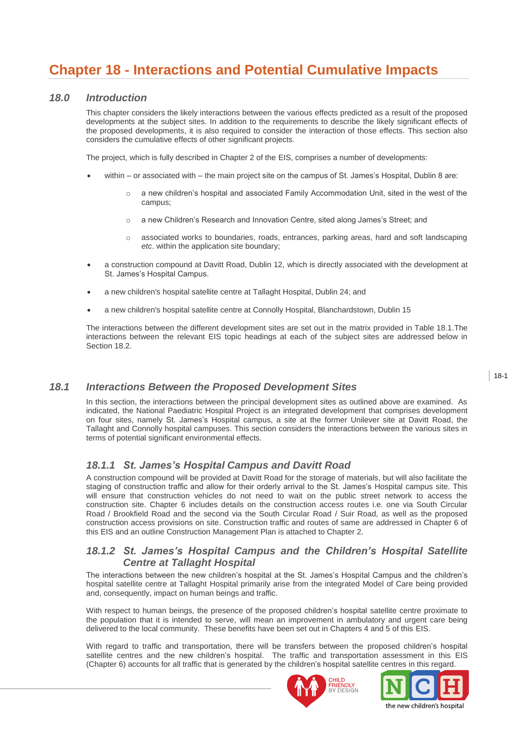# **Chapter 18 - Interactions and Potential Cumulative Impacts**

# *18.0 Introduction*

This chapter considers the likely interactions between the various effects predicted as a result of the proposed developments at the subject sites. In addition to the requirements to describe the likely significant effects of the proposed developments, it is also required to consider the interaction of those effects. This section also considers the cumulative effects of other significant projects.

The project, which is fully described in Chapter 2 of the EIS, comprises a number of developments:

- within or associated with the main project site on the campus of St. James's Hospital, Dublin 8 are:
	- o a new children"s hospital and associated Family Accommodation Unit, sited in the west of the campus;
	- o a new Children"s Research and Innovation Centre, sited along James"s Street; and
	- o associated works to boundaries, roads, entrances, parking areas, hard and soft landscaping *etc*. within the application site boundary;
- a construction compound at Davitt Road, Dublin 12, which is directly associated with the development at St. James"s Hospital Campus.
- a new children's hospital satellite centre at Tallaght Hospital, Dublin 24; and
- a new children's hospital satellite centre at Connolly Hospital, Blanchardstown, Dublin 15

The interactions between the different development sites are set out in the matrix provided in Table 18.1.The interactions between the relevant EIS topic headings at each of the subject sites are addressed below in Section 18.2.

# *18.1 Interactions Between the Proposed Development Sites*

In this section, the interactions between the principal development sites as outlined above are examined. As indicated, the National Paediatric Hospital Project is an integrated development that comprises development on four sites, namely St. James's Hospital campus, a site at the former Unilever site at Davitt Road, the Tallaght and Connolly hospital campuses. This section considers the interactions between the various sites in terms of potential significant environmental effects.

# *18.1.1 St. James's Hospital Campus and Davitt Road*

A construction compound will be provided at Davitt Road for the storage of materials, but will also facilitate the staging of construction traffic and allow for their orderly arrival to the St. James's Hospital campus site. This will ensure that construction vehicles do not need to wait on the public street network to access the construction site. Chapter 6 includes details on the construction access routes i.e. one via South Circular Road / Brookfield Road and the second via the South Circular Road / Suir Road, as well as the proposed construction access provisions on site. Construction traffic and routes of same are addressed in Chapter 6 of this EIS and an outline Construction Management Plan is attached to Chapter 2.

# *18.1.2 St. James's Hospital Campus and the Children's Hospital Satellite Centre at Tallaght Hospital*

The interactions between the new children's hospital at the St. James's Hospital Campus and the children's hospital satellite centre at Tallaght Hospital primarily arise from the integrated Model of Care being provided and, consequently, impact on human beings and traffic.

With respect to human beings, the presence of the proposed children"s hospital satellite centre proximate to the population that it is intended to serve, will mean an improvement in ambulatory and urgent care being delivered to the local community. These benefits have been set out in Chapters 4 and 5 of this EIS.

With regard to traffic and transportation, there will be transfers between the proposed children"s hospital satellite centres and the new children's hospital. The traffic and transportation assessment in this EIS (Chapter 6) accounts for all traffic that is generated by the children"s hospital satellite centres in this regard.





18-1

the new children's hospital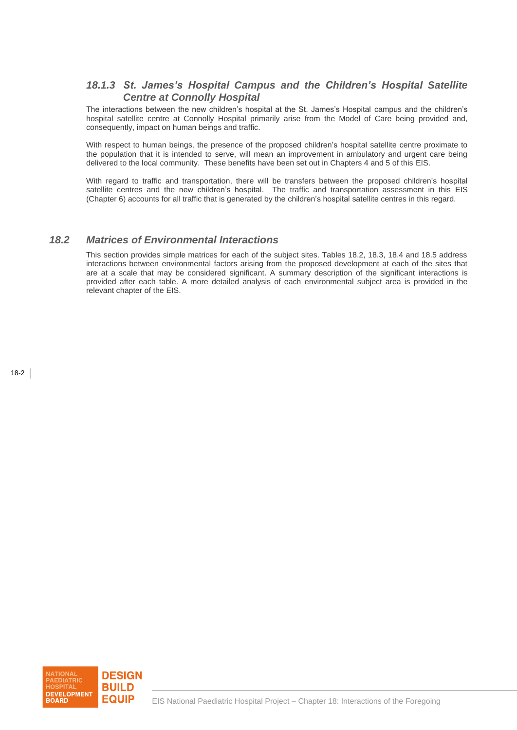# *18.1.3 St. James's Hospital Campus and the Children's Hospital Satellite Centre at Connolly Hospital*

The interactions between the new children"s hospital at the St. James"s Hospital campus and the children"s hospital satellite centre at Connolly Hospital primarily arise from the Model of Care being provided and, consequently, impact on human beings and traffic.

With respect to human beings, the presence of the proposed children"s hospital satellite centre proximate to the population that it is intended to serve, will mean an improvement in ambulatory and urgent care being delivered to the local community. These benefits have been set out in Chapters 4 and 5 of this EIS.

With regard to traffic and transportation, there will be transfers between the proposed children"s hospital satellite centres and the new children's hospital. The traffic and transportation assessment in this EIS (Chapter 6) accounts for all traffic that is generated by the children"s hospital satellite centres in this regard.

# *18.2 Matrices of Environmental Interactions*

This section provides simple matrices for each of the subject sites. Tables 18.2, 18.3, 18.4 and 18.5 address interactions between environmental factors arising from the proposed development at each of the sites that are at a scale that may be considered significant. A summary description of the significant interactions is provided after each table. A more detailed analysis of each environmental subject area is provided in the relevant chapter of the EIS.

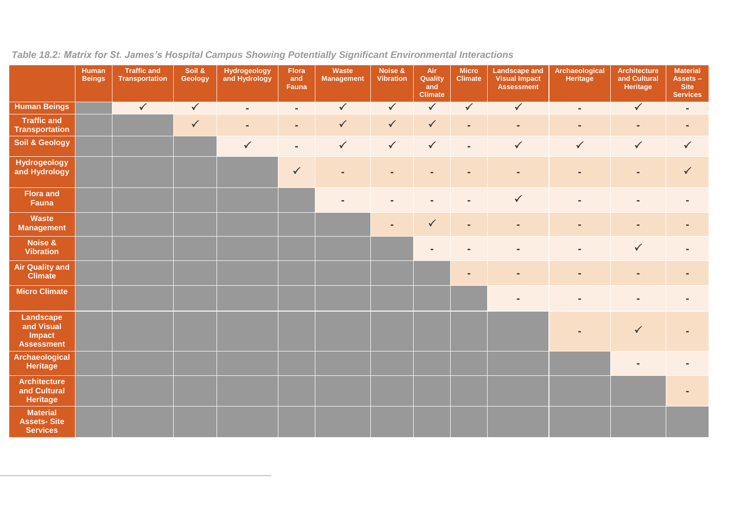|                                                          | <b>Human</b><br><b>Beings</b> | <b>Traffic and</b><br><b>Transportation</b> | Soil &<br>Geology | Hydrogeology<br>and Hydrology | <b>Flora</b><br>and<br>Fauna | Waste<br><b>Management</b> | Noise &<br><b>Vibration</b> | Air<br>Quality<br>and<br><b>Climate</b> | <b>Micro</b><br><b>Climate</b> | <b>Landscape and</b><br><b>Visual Impact</b><br><b>Assessment</b> | Archaeological<br>Heritage | Architecture<br>and Cultural<br><b>Heritage</b> | <b>Material</b><br>Assets-<br><b>Site</b><br><b>Services</b> |
|----------------------------------------------------------|-------------------------------|---------------------------------------------|-------------------|-------------------------------|------------------------------|----------------------------|-----------------------------|-----------------------------------------|--------------------------------|-------------------------------------------------------------------|----------------------------|-------------------------------------------------|--------------------------------------------------------------|
| <b>Human Beings</b>                                      |                               | $\sqrt{}$                                   | $\checkmark$      | $\blacksquare$                | $\sim$                       | $\sqrt{}$                  | $\checkmark$                | $\sqrt{}$                               | $\checkmark$                   | $\sqrt{}$                                                         | $\blacksquare$             | $\checkmark$                                    | $\blacksquare$                                               |
| <b>Traffic and</b><br><b>Transportation</b>              |                               |                                             | $\checkmark$      | $\blacksquare$                | $\sim$                       | $\checkmark$               | $\checkmark$                | $\checkmark$                            | $\blacksquare$                 | $\blacksquare$                                                    | $\blacksquare$             | $\blacksquare$                                  | $\blacksquare$                                               |
| <b>Soil &amp; Geology</b>                                |                               |                                             |                   | $\checkmark$                  | $\sim$                       | $\checkmark$               | $\checkmark$                | $\checkmark$                            | $\blacksquare$                 | $\checkmark$                                                      | $\checkmark$               | $\checkmark$                                    | $\checkmark$                                                 |
| <b>Hydrogeology</b><br>and Hydrology                     |                               |                                             |                   |                               | $\checkmark$                 | $\overline{a}$             | $\blacksquare$              | $\blacksquare$                          | $\blacksquare$                 | $\blacksquare$                                                    | ٠                          | $\blacksquare$                                  | $\checkmark$                                                 |
| <b>Flora and</b><br>Fauna                                |                               |                                             |                   |                               |                              |                            |                             |                                         | $\blacksquare$                 | $\checkmark$                                                      | $\blacksquare$             | $\blacksquare$                                  |                                                              |
| <b>Waste</b><br><b>Management</b>                        |                               |                                             |                   |                               |                              |                            |                             | $\checkmark$                            | $\blacksquare$                 | $\blacksquare$                                                    | $\blacksquare$             | $\blacksquare$                                  |                                                              |
| Noise &<br><b>Vibration</b>                              |                               |                                             |                   |                               |                              |                            |                             |                                         |                                | $\overline{a}$                                                    | $\blacksquare$             | $\checkmark$                                    |                                                              |
| <b>Air Quality and</b><br><b>Climate</b>                 |                               |                                             |                   |                               |                              |                            |                             |                                         | $\overline{a}$                 | ۰                                                                 | $\blacksquare$             | $\blacksquare$                                  |                                                              |
| <b>Micro Climate</b>                                     |                               |                                             |                   |                               |                              |                            |                             |                                         |                                |                                                                   |                            |                                                 |                                                              |
| Landscape<br>and Visual<br>Impact<br><b>Assessment</b>   |                               |                                             |                   |                               |                              |                            |                             |                                         |                                |                                                                   |                            | $\checkmark$                                    |                                                              |
| <b>Archaeological</b><br><b>Heritage</b>                 |                               |                                             |                   |                               |                              |                            |                             |                                         |                                |                                                                   |                            |                                                 |                                                              |
| <b>Architecture</b><br>and Cultural<br>Heritage          |                               |                                             |                   |                               |                              |                            |                             |                                         |                                |                                                                   |                            |                                                 |                                                              |
| <b>Material</b><br><b>Assets-Site</b><br><b>Services</b> |                               |                                             |                   |                               |                              |                            |                             |                                         |                                |                                                                   |                            |                                                 |                                                              |

# *Table 18.2: Matrix for St. James's Hospital Campus Showing Potentially Significant Environmental Interactions*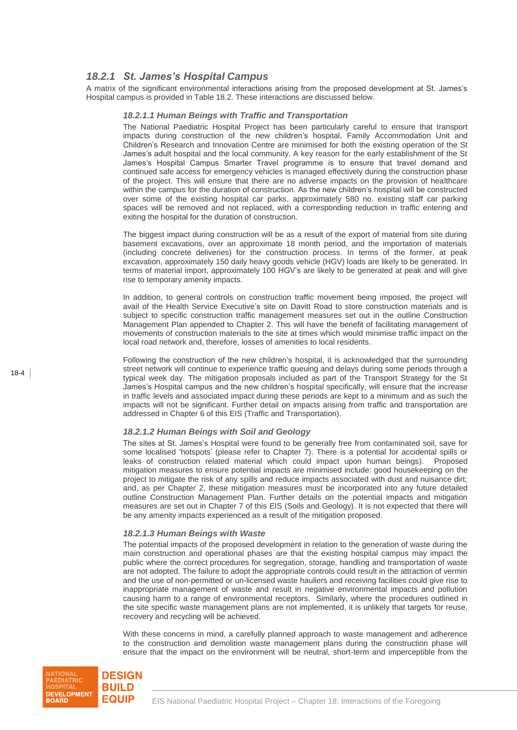# *18.2.1 St. James's Hospital Campus*

A matrix of the significant environmental interactions arising from the proposed development at St. James"s Hospital campus is provided in Table 18.2. These interactions are discussed below.

#### *18.2.1.1 Human Beings with Traffic and Transportation*

The National Paediatric Hospital Project has been particularly careful to ensure that transport impacts during construction of the new children"s hospital, Family Accommodation Unit and Children"s Research and Innovation Centre are minimised for both the existing operation of the St James"s adult hospital and the local community. A key reason for the early establishment of the St James"s Hospital Campus Smarter Travel programme is to ensure that travel demand and continued safe access for emergency vehicles is managed effectively during the construction phase of the project. This will ensure that there are no adverse impacts on the provision of healthcare within the campus for the duration of construction. As the new children"s hospital will be constructed over some of the existing hospital car parks, approximately 580 no. existing staff car parking spaces will be removed and not replaced, with a corresponding reduction in traffic entering and exiting the hospital for the duration of construction.

The biggest impact during construction will be as a result of the export of material from site during basement excavations, over an approximate 18 month period, and the importation of materials (including concrete deliveries) for the construction process. In terms of the former, at peak excavation, approximately 150 daily heavy goods vehicle (HGV) loads are likely to be generated. In terms of material import, approximately 100 HGV"s are likely to be generated at peak and will give rise to temporary amenity impacts.

In addition, to general controls on construction traffic movement being imposed, the project will avail of the Health Service Executive"s site on Davitt Road to store construction materials and is subject to specific construction traffic management measures set out in the outline Construction Management Plan appended to Chapter 2. This will have the benefit of facilitating management of movements of construction materials to the site at times which would minimise traffic impact on the local road network and, therefore, losses of amenities to local residents.

Following the construction of the new children"s hospital, it is acknowledged that the surrounding street network will continue to experience traffic queuing and delays during some periods through a typical week day. The mitigation proposals included as part of the Transport Strategy for the St James"s Hospital campus and the new children"s hospital specifically, will ensure that the increase in traffic levels and associated impact during these periods are kept to a minimum and as such the impacts will not be significant. Further detail on impacts arising from traffic and transportation are addressed in Chapter 6 of this EIS (Traffic and Transportation).

#### *18.2.1.2 Human Beings with Soil and Geology*

The sites at St. James"s Hospital were found to be generally free from contaminated soil, save for some localised 'hotspots' (please refer to Chapter 7). There is a potential for accidental spills or leaks of construction related material which could impact upon human beings). Proposed mitigation measures to ensure potential impacts are minimised include: good housekeeping on the project to mitigate the risk of any spills and reduce impacts associated with dust and nuisance dirt; and, as per Chapter 2, these mitigation measures must be incorporated into any future detailed outline Construction Management Plan. Further details on the potential impacts and mitigation measures are set out in Chapter 7 of this EIS (Soils and Geology). It is not expected that there will be any amenity impacts experienced as a result of the mitigation proposed.

#### *18.2.1.3 Human Beings with Waste*

The potential impacts of the proposed development in relation to the generation of waste during the main construction and operational phases are that the existing hospital campus may impact the public where the correct procedures for segregation, storage, handling and transportation of waste are not adopted. The failure to adopt the appropriate controls could result in the attraction of vermin and the use of non-permitted or un-licensed waste hauliers and receiving facilities could give rise to inappropriate management of waste and result in negative environmental impacts and pollution causing harm to a range of environmental receptors. Similarly, where the procedures outlined in the site specific waste management plans are not implemented, it is unlikely that targets for reuse, recovery and recycling will be achieved.

With these concerns in mind, a carefully planned approach to waste management and adherence to the construction and demolition waste management plans during the construction phase will ensure that the impact on the environment will be neutral, short-term and imperceptible from the

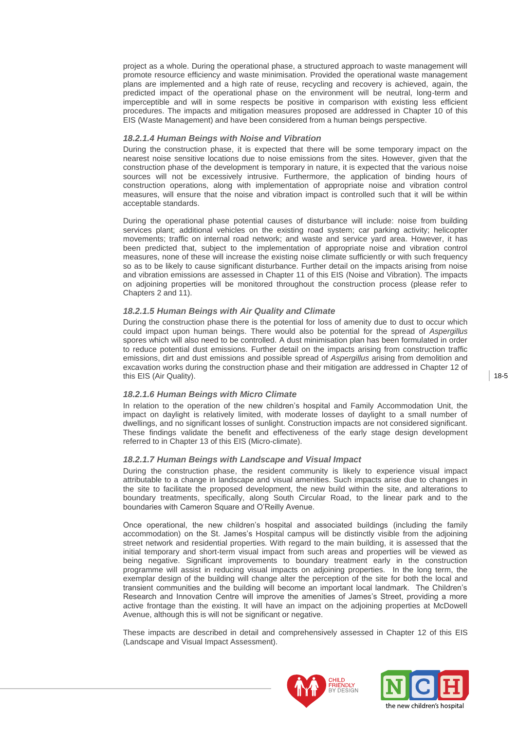project as a whole. During the operational phase, a structured approach to waste management will promote resource efficiency and waste minimisation. Provided the operational waste management plans are implemented and a high rate of reuse, recycling and recovery is achieved, again, the predicted impact of the operational phase on the environment will be neutral, long-term and imperceptible and will in some respects be positive in comparison with existing less efficient procedures. The impacts and mitigation measures proposed are addressed in Chapter 10 of this EIS (Waste Management) and have been considered from a human beings perspective.

#### *18.2.1.4 Human Beings with Noise and Vibration*

During the construction phase, it is expected that there will be some temporary impact on the nearest noise sensitive locations due to noise emissions from the sites. However, given that the construction phase of the development is temporary in nature, it is expected that the various noise sources will not be excessively intrusive. Furthermore, the application of binding hours of construction operations, along with implementation of appropriate noise and vibration control measures, will ensure that the noise and vibration impact is controlled such that it will be within acceptable standards.

During the operational phase potential causes of disturbance will include: noise from building services plant; additional vehicles on the existing road system; car parking activity; helicopter movements; traffic on internal road network; and waste and service yard area. However, it has been predicted that, subject to the implementation of appropriate noise and vibration control measures, none of these will increase the existing noise climate sufficiently or with such frequency so as to be likely to cause significant disturbance. Further detail on the impacts arising from noise and vibration emissions are assessed in Chapter 11 of this EIS (Noise and Vibration). The impacts on adjoining properties will be monitored throughout the construction process (please refer to Chapters 2 and 11).

#### *18.2.1.5 Human Beings with Air Quality and Climate*

During the construction phase there is the potential for loss of amenity due to dust to occur which could impact upon human beings. There would also be potential for the spread of *Aspergillus* spores which will also need to be controlled. A dust minimisation plan has been formulated in order to reduce potential dust emissions. Further detail on the impacts arising from construction traffic emissions, dirt and dust emissions and possible spread of *Aspergillus* arising from demolition and excavation works during the construction phase and their mitigation are addressed in Chapter 12 of this EIS (Air Quality).

#### *18.2.1.6 Human Beings with Micro Climate*

In relation to the operation of the new children"s hospital and Family Accommodation Unit, the impact on daylight is relatively limited, with moderate losses of daylight to a small number of dwellings, and no significant losses of sunlight. Construction impacts are not considered significant. These findings validate the benefit and effectiveness of the early stage design development referred to in Chapter 13 of this EIS (Micro-climate).

#### *18.2.1.7 Human Beings with Landscape and Visual Impact*

During the construction phase, the resident community is likely to experience visual impact attributable to a change in landscape and visual amenities. Such impacts arise due to changes in the site to facilitate the proposed development, the new build within the site, and alterations to boundary treatments, specifically, along South Circular Road, to the linear park and to the boundaries with Cameron Square and O"Reilly Avenue.

Once operational, the new children"s hospital and associated buildings (including the family accommodation) on the St. James"s Hospital campus will be distinctly visible from the adjoining street network and residential properties. With regard to the main building, it is assessed that the initial temporary and short-term visual impact from such areas and properties will be viewed as being negative. Significant improvements to boundary treatment early in the construction programme will assist in reducing visual impacts on adjoining properties. In the long term, the exemplar design of the building will change alter the perception of the site for both the local and transient communities and the building will become an important local landmark. The Children"s Research and Innovation Centre will improve the amenities of James"s Street, providing a more active frontage than the existing. It will have an impact on the adjoining properties at McDowell Avenue, although this is will not be significant or negative.

These impacts are described in detail and comprehensively assessed in Chapter 12 of this EIS (Landscape and Visual Impact Assessment).



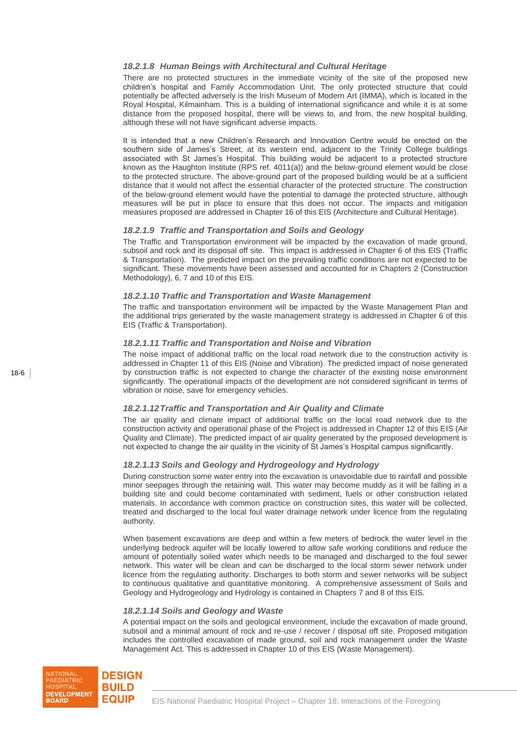## *18.2.1.8 Human Beings with Architectural and Cultural Heritage*

There are no protected structures in the immediate vicinity of the site of the proposed new children"s hospital and Family Accommodation Unit. The only protected structure that could potentially be affected adversely is the Irish Museum of Modern Art (IMMA), which is located in the Royal Hospital, Kilmainham. This is a building of international significance and while it is at some distance from the proposed hospital, there will be views to, and from, the new hospital building, although these will not have significant adverse impacts.

It is intended that a new Children"s Research and Innovation Centre would be erected on the southern side of James's Street, at its western end, adjacent to the Trinity College buildings associated with St James"s Hospital. This building would be adjacent to a protected structure known as the Haughton Institute (RPS ref. 4011(a)) and the below-ground element would be close to the protected structure. The above-ground part of the proposed building would be at a sufficient distance that it would not affect the essential character of the protected structure. The construction of the below-ground element would have the potential to damage the protected structure, although measures will be put in place to ensure that this does not occur. The impacts and mitigation measures proposed are addressed in Chapter 16 of this EIS (Architecture and Cultural Heritage).

## *18.2.1.9 Traffic and Transportation and Soils and Geology*

The Traffic and Transportation environment will be impacted by the excavation of made ground, subsoil and rock and its disposal off site. This impact is addressed in Chapter 6 of this EIS (Traffic & Transportation). The predicted impact on the prevailing traffic conditions are not expected to be significant. These movements have been assessed and accounted for in Chapters 2 (Construction Methodology), 6, 7 and 10 of this EIS.

## *18.2.1.10 Traffic and Transportation and Waste Management*

The traffic and transportation environment will be impacted by the Waste Management Plan and the additional trips generated by the waste management strategy is addressed in Chapter 6 of this EIS (Traffic & Transportation).

# *18.2.1.11 Traffic and Transportation and Noise and Vibration*

The noise impact of additional traffic on the local road network due to the construction activity is addressed in Chapter 11 of this EIS (Noise and Vibration). The predicted impact of noise generated by construction traffic is not expected to change the character of the existing noise environment significantly. The operational impacts of the development are not considered significant in terms of vibration or noise, save for emergency vehicles.

## *18.2.1.12Traffic and Transportation and Air Quality and Climate*

The air quality and climate impact of additional traffic on the local road network due to the construction activity and operational phase of the Project is addressed in Chapter 12 of this EIS (Air Quality and Climate). The predicted impact of air quality generated by the proposed development is not expected to change the air quality in the vicinity of St James"s Hospital campus significantly.

## *18.2.1.13 Soils and Geology and Hydrogeology and Hydrology*

During construction some water entry into the excavation is unavoidable due to rainfall and possible minor seepages through the retaining wall. This water may become muddy as it will be falling in a building site and could become contaminated with sediment, fuels or other construction related materials. In accordance with common practice on construction sites, this water will be collected, treated and discharged to the local foul water drainage network under licence from the regulating authority.

When basement excavations are deep and within a few meters of bedrock the water level in the underlying bedrock aquifer will be locally lowered to allow safe working conditions and reduce the amount of potentially soiled water which needs to be managed and discharged to the foul sewer network. This water will be clean and can be discharged to the local storm sewer network under licence from the regulating authority. Discharges to both storm and sewer networks will be subject to continuous qualitative and quantitative monitoring. A comprehensive assessment of Soils and Geology and Hydrogeology and Hydrology is contained in Chapters 7 and 8 of this EIS.

## *18.2.1.14 Soils and Geology and Waste*

A potential impact on the soils and geological environment, include the excavation of made ground, subsoil and a minimal amount of rock and re-use / recover / disposal off site. Proposed mitigation includes the controlled excavation of made ground, soil and rock management under the Waste Management Act. This is addressed in Chapter 10 of this EIS (Waste Management).

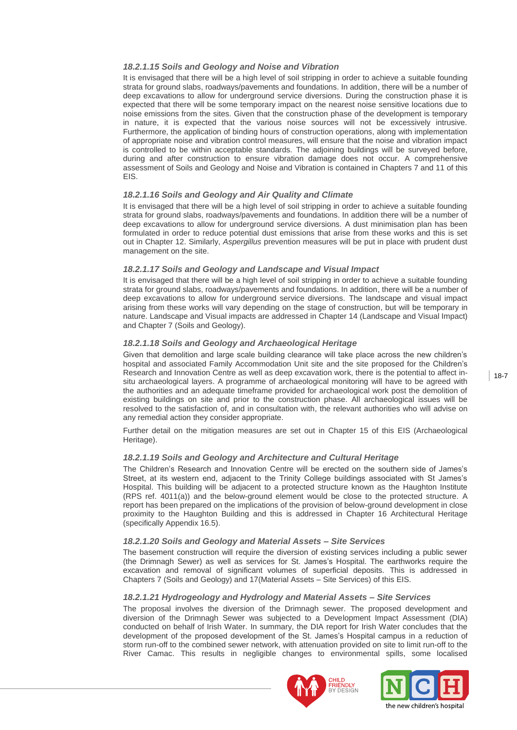## *18.2.1.15 Soils and Geology and Noise and Vibration*

It is envisaged that there will be a high level of soil stripping in order to achieve a suitable founding strata for ground slabs, roadways/pavements and foundations. In addition, there will be a number of deep excavations to allow for underground service diversions. During the construction phase it is expected that there will be some temporary impact on the nearest noise sensitive locations due to noise emissions from the sites. Given that the construction phase of the development is temporary in nature, it is expected that the various noise sources will not be excessively intrusive. Furthermore, the application of binding hours of construction operations, along with implementation of appropriate noise and vibration control measures, will ensure that the noise and vibration impact is controlled to be within acceptable standards. The adjoining buildings will be surveyed before, during and after construction to ensure vibration damage does not occur. A comprehensive assessment of Soils and Geology and Noise and Vibration is contained in Chapters 7 and 11 of this EIS.

## *18.2.1.16 Soils and Geology and Air Quality and Climate*

It is envisaged that there will be a high level of soil stripping in order to achieve a suitable founding strata for ground slabs, roadways/pavements and foundations. In addition there will be a number of deep excavations to allow for underground service diversions. A dust minimisation plan has been formulated in order to reduce potential dust emissions that arise from these works and this is set out in Chapter 12. Similarly, *Aspergillus* prevention measures will be put in place with prudent dust management on the site.

## *18.2.1.17 Soils and Geology and Landscape and Visual Impact*

It is envisaged that there will be a high level of soil stripping in order to achieve a suitable founding strata for ground slabs, roadways/pavements and foundations. In addition, there will be a number of deep excavations to allow for underground service diversions. The landscape and visual impact arising from these works will vary depending on the stage of construction, but will be temporary in nature. Landscape and Visual impacts are addressed in Chapter 14 (Landscape and Visual Impact) and Chapter 7 (Soils and Geology).

## *18.2.1.18 Soils and Geology and Archaeological Heritage*

Given that demolition and large scale building clearance will take place across the new children"s hospital and associated Family Accommodation Unit site and the site proposed for the Children"s Research and Innovation Centre as well as deep excavation work, there is the potential to affect insitu archaeological layers. A programme of archaeological monitoring will have to be agreed with the authorities and an adequate timeframe provided for archaeological work post the demolition of existing buildings on site and prior to the construction phase. All archaeological issues will be resolved to the satisfaction of, and in consultation with, the relevant authorities who will advise on any remedial action they consider appropriate.

Further detail on the mitigation measures are set out in Chapter 15 of this EIS (Archaeological Heritage).

## *18.2.1.19 Soils and Geology and Architecture and Cultural Heritage*

The Children"s Research and Innovation Centre will be erected on the southern side of James"s Street, at its western end, adjacent to the Trinity College buildings associated with St James"s Hospital. This building will be adjacent to a protected structure known as the Haughton Institute (RPS ref. 4011(a)) and the below-ground element would be close to the protected structure. A report has been prepared on the implications of the provision of below-ground development in close proximity to the Haughton Building and this is addressed in Chapter 16 Architectural Heritage (specifically Appendix 16.5).

## *18.2.1.20 Soils and Geology and Material Assets – Site Services*

The basement construction will require the diversion of existing services including a public sewer (the Drimnagh Sewer) as well as services for St. James"s Hospital. The earthworks require the excavation and removal of significant volumes of superficial deposits. This is addressed in Chapters 7 (Soils and Geology) and 17(Material Assets – Site Services) of this EIS.

## *18.2.1.21 Hydrogeology and Hydrology and Material Assets – Site Services*

The proposal involves the diversion of the Drimnagh sewer. The proposed development and diversion of the Drimnagh Sewer was subjected to a Development Impact Assessment (DIA) conducted on behalf of Irish Water. In summary, the DIA report for Irish Water concludes that the development of the proposed development of the St. James"s Hospital campus in a reduction of storm run-off to the combined sewer network, with attenuation provided on site to limit run-off to the River Camac. This results in negligible changes to environmental spills, some localised





18-7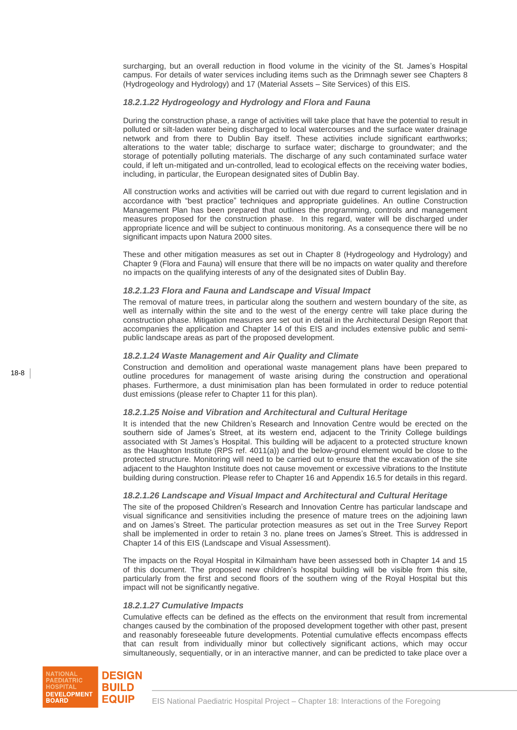surcharging, but an overall reduction in flood volume in the vicinity of the St. James's Hospital campus. For details of water services including items such as the Drimnagh sewer see Chapters 8 (Hydrogeology and Hydrology) and 17 (Material Assets – Site Services) of this EIS.

## *18.2.1.22 Hydrogeology and Hydrology and Flora and Fauna*

During the construction phase, a range of activities will take place that have the potential to result in polluted or silt-laden water being discharged to local watercourses and the surface water drainage network and from there to Dublin Bay itself. These activities include significant earthworks; alterations to the water table; discharge to surface water; discharge to groundwater; and the storage of potentially polluting materials. The discharge of any such contaminated surface water could, if left un-mitigated and un-controlled, lead to ecological effects on the receiving water bodies, including, in particular, the European designated sites of Dublin Bay.

All construction works and activities will be carried out with due regard to current legislation and in accordance with "best practice" techniques and appropriate guidelines. An outline Construction Management Plan has been prepared that outlines the programming, controls and management measures proposed for the construction phase. In this regard, water will be discharged under appropriate licence and will be subject to continuous monitoring. As a consequence there will be no significant impacts upon Natura 2000 sites.

These and other mitigation measures as set out in Chapter 8 (Hydrogeology and Hydrology) and Chapter 9 (Flora and Fauna) will ensure that there will be no impacts on water quality and therefore no impacts on the qualifying interests of any of the designated sites of Dublin Bay.

## *18.2.1.23 Flora and Fauna and Landscape and Visual Impact*

The removal of mature trees, in particular along the southern and western boundary of the site, as well as internally within the site and to the west of the energy centre will take place during the construction phase. Mitigation measures are set out in detail in the Architectural Design Report that accompanies the application and Chapter 14 of this EIS and includes extensive public and semipublic landscape areas as part of the proposed development.

#### *18.2.1.24 Waste Management and Air Quality and Climate*

Construction and demolition and operational waste management plans have been prepared to outline procedures for management of waste arising during the construction and operational phases. Furthermore, a dust minimisation plan has been formulated in order to reduce potential dust emissions (please refer to Chapter 11 for this plan).

## *18.2.1.25 Noise and Vibration and Architectural and Cultural Heritage*

It is intended that the new Children"s Research and Innovation Centre would be erected on the southern side of James's Street, at its western end, adjacent to the Trinity College buildings associated with St James"s Hospital. This building will be adjacent to a protected structure known as the Haughton Institute (RPS ref. 4011(a)) and the below-ground element would be close to the protected structure. Monitoring will need to be carried out to ensure that the excavation of the site adjacent to the Haughton Institute does not cause movement or excessive vibrations to the Institute building during construction. Please refer to Chapter 16 and Appendix 16.5 for details in this regard.

#### *18.2.1.26 Landscape and Visual Impact and Architectural and Cultural Heritage*

The site of the proposed Children"s Research and Innovation Centre has particular landscape and visual significance and sensitivities including the presence of mature trees on the adjoining lawn and on James"s Street. The particular protection measures as set out in the Tree Survey Report shall be implemented in order to retain 3 no. plane trees on James"s Street. This is addressed in Chapter 14 of this EIS (Landscape and Visual Assessment).

The impacts on the Royal Hospital in Kilmainham have been assessed both in Chapter 14 and 15 of this document. The proposed new children"s hospital building will be visible from this site, particularly from the first and second floors of the southern wing of the Royal Hospital but this impact will not be significantly negative.

#### *18.2.1.27 Cumulative Impacts*

Cumulative effects can be defined as the effects on the environment that result from incremental changes caused by the combination of the proposed development together with other past, present and reasonably foreseeable future developments. Potential cumulative effects encompass effects that can result from individually minor but collectively significant actions, which may occur simultaneously, sequentially, or in an interactive manner, and can be predicted to take place over a

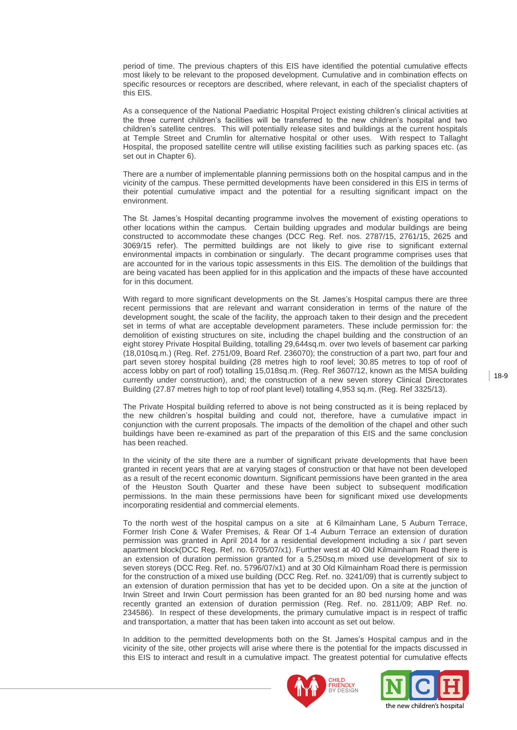period of time. The previous chapters of this EIS have identified the potential cumulative effects most likely to be relevant to the proposed development. Cumulative and in combination effects on specific resources or receptors are described, where relevant, in each of the specialist chapters of this EIS.

As a consequence of the National Paediatric Hospital Project existing children"s clinical activities at the three current children"s facilities will be transferred to the new children"s hospital and two children"s satellite centres. This will potentially release sites and buildings at the current hospitals at Temple Street and Crumlin for alternative hospital or other uses. With respect to Tallaght Hospital, the proposed satellite centre will utilise existing facilities such as parking spaces etc. (as set out in Chapter 6).

There are a number of implementable planning permissions both on the hospital campus and in the vicinity of the campus. These permitted developments have been considered in this EIS in terms of their potential cumulative impact and the potential for a resulting significant impact on the environment.

The St. James"s Hospital decanting programme involves the movement of existing operations to other locations within the campus. Certain building upgrades and modular buildings are being constructed to accommodate these changes (DCC Reg. Ref. nos. 2787/15, 2761/15, 2625 and 3069/15 refer). The permitted buildings are not likely to give rise to significant external environmental impacts in combination or singularly. The decant programme comprises uses that are accounted for in the various topic assessments in this EIS. The demolition of the buildings that are being vacated has been applied for in this application and the impacts of these have accounted for in this document.

With regard to more significant developments on the St. James's Hospital campus there are three recent permissions that are relevant and warrant consideration in terms of the nature of the development sought, the scale of the facility, the approach taken to their design and the precedent set in terms of what are acceptable development parameters. These include permission for: the demolition of existing structures on site, including the chapel building and the construction of an eight storey Private Hospital Building, totalling 29,644sq.m. over two levels of basement car parking (18,010sq.m.) (Reg. Ref. 2751/09, Board Ref. 236070); the construction of a part two, part four and part seven storey hospital building (28 metres high to roof level; 30.85 metres to top of roof of access lobby on part of roof) totalling 15,018sq.m. (Reg. Ref 3607/12, known as the MISA building currently under construction), and; the construction of a new seven storey Clinical Directorates Building (27.87 metres high to top of roof plant level) totalling 4,953 sq.m. (Reg. Ref 3325/13).

The Private Hospital building referred to above is not being constructed as it is being replaced by the new children"s hospital building and could not, therefore, have a cumulative impact in conjunction with the current proposals. The impacts of the demolition of the chapel and other such buildings have been re-examined as part of the preparation of this EIS and the same conclusion has been reached.

In the vicinity of the site there are a number of significant private developments that have been granted in recent years that are at varying stages of construction or that have not been developed as a result of the recent economic downturn. Significant permissions have been granted in the area of the Heuston South Quarter and these have been subject to subsequent modification permissions. In the main these permissions have been for significant mixed use developments incorporating residential and commercial elements.

To the north west of the hospital campus on a site at 6 Kilmainham Lane, 5 Auburn Terrace, Former Irish Cone & Wafer Premises, & Rear Of 1-4 Auburn Terrace an extension of duration permission was granted in April 2014 for a residential development including a six / part seven apartment block(DCC Reg. Ref. no. 6705/07/x1). Further west at 40 Old Kilmainham Road there is an extension of duration permission granted for a 5,250sq.m mixed use development of six to seven storeys (DCC Reg. Ref. no. 5796/07/x1) and at 30 Old Kilmainham Road there is permission for the construction of a mixed use building (DCC Reg. Ref. no. 3241/09) that is currently subject to an extension of duration permission that has yet to be decided upon. On a site at the junction of Irwin Street and Irwin Court permission has been granted for an 80 bed nursing home and was recently granted an extension of duration permission (Reg. Ref. no. 2811/09; ABP Ref. no. 234586). In respect of these developments, the primary cumulative impact is in respect of traffic and transportation, a matter that has been taken into account as set out below.

In addition to the permitted developments both on the St. James"s Hospital campus and in the vicinity of the site, other projects will arise where there is the potential for the impacts discussed in this EIS to interact and result in a cumulative impact. The greatest potential for cumulative effects



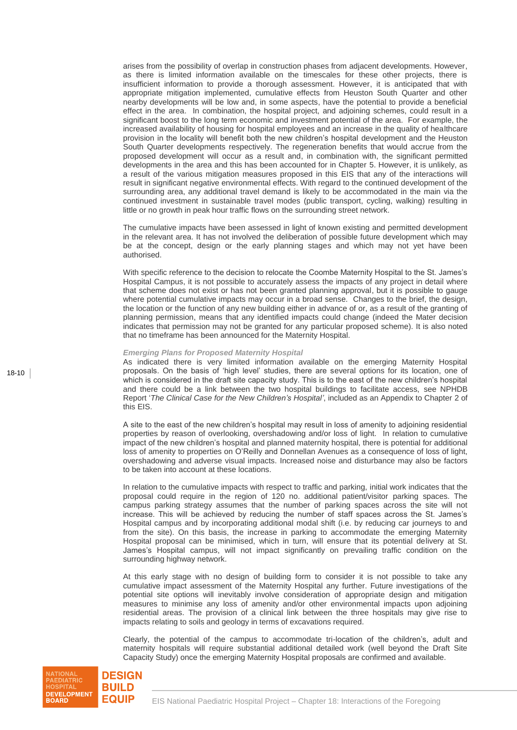arises from the possibility of overlap in construction phases from adjacent developments. However, as there is limited information available on the timescales for these other projects, there is insufficient information to provide a thorough assessment. However, it is anticipated that with appropriate mitigation implemented, cumulative effects from Heuston South Quarter and other nearby developments will be low and, in some aspects, have the potential to provide a beneficial effect in the area. In combination, the hospital project, and adjoining schemes, could result in a significant boost to the long term economic and investment potential of the area. For example, the increased availability of housing for hospital employees and an increase in the quality of healthcare provision in the locality will benefit both the new children"s hospital development and the Heuston South Quarter developments respectively. The regeneration benefits that would accrue from the proposed development will occur as a result and, in combination with, the significant permitted developments in the area and this has been accounted for in Chapter 5. However, it is unlikely, as a result of the various mitigation measures proposed in this EIS that any of the interactions will result in significant negative environmental effects. With regard to the continued development of the surrounding area, any additional travel demand is likely to be accommodated in the main via the continued investment in sustainable travel modes (public transport, cycling, walking) resulting in little or no growth in peak hour traffic flows on the surrounding street network.

The cumulative impacts have been assessed in light of known existing and permitted development in the relevant area. It has not involved the deliberation of possible future development which may be at the concept, design or the early planning stages and which may not yet have been authorised.

With specific reference to the decision to relocate the Coombe Maternity Hospital to the St. James"s Hospital Campus, it is not possible to accurately assess the impacts of any project in detail where that scheme does not exist or has not been granted planning approval, but it is possible to gauge where potential cumulative impacts may occur in a broad sense. Changes to the brief, the design, the location or the function of any new building either in advance of or, as a result of the granting of planning permission, means that any identified impacts could change (indeed the Mater decision indicates that permission may not be granted for any particular proposed scheme). It is also noted that no timeframe has been announced for the Maternity Hospital.

#### *Emerging Plans for Proposed Maternity Hospital*

As indicated there is very limited information available on the emerging Maternity Hospital proposals. On the basis of "high level" studies, there are several options for its location, one of which is considered in the draft site capacity study. This is to the east of the new children"s hospital and there could be a link between the two hospital buildings to facilitate access, see NPHDB Report "*The Clinical Case for the New Children's Hospital'*, included as an Appendix to Chapter 2 of this EIS.

A site to the east of the new children"s hospital may result in loss of amenity to adjoining residential properties by reason of overlooking, overshadowing and/or loss of light. In relation to cumulative impact of the new children"s hospital and planned maternity hospital, there is potential for additional loss of amenity to properties on O"Reilly and Donnellan Avenues as a consequence of loss of light, overshadowing and adverse visual impacts. Increased noise and disturbance may also be factors to be taken into account at these locations.

In relation to the cumulative impacts with respect to traffic and parking, initial work indicates that the proposal could require in the region of 120 no. additional patient/visitor parking spaces. The campus parking strategy assumes that the number of parking spaces across the site will not increase. This will be achieved by reducing the number of staff spaces across the St. James"s Hospital campus and by incorporating additional modal shift (i.e. by reducing car journeys to and from the site). On this basis, the increase in parking to accommodate the emerging Maternity Hospital proposal can be minimised, which in turn, will ensure that its potential delivery at St. James"s Hospital campus, will not impact significantly on prevailing traffic condition on the surrounding highway network.

At this early stage with no design of building form to consider it is not possible to take any cumulative impact assessment of the Maternity Hospital any further. Future investigations of the potential site options will inevitably involve consideration of appropriate design and mitigation measures to minimise any loss of amenity and/or other environmental impacts upon adjoining residential areas. The provision of a clinical link between the three hospitals may give rise to impacts relating to soils and geology in terms of excavations required.

Clearly, the potential of the campus to accommodate tri-location of the children"s, adult and maternity hospitals will require substantial additional detailed work (well beyond the Draft Site Capacity Study) once the emerging Maternity Hospital proposals are confirmed and available.

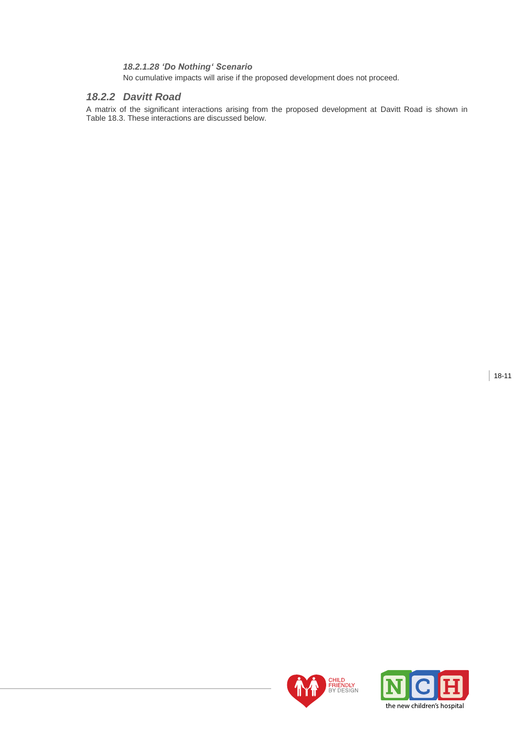# *18.2.1.28 'Do Nothing' Scenario*

No cumulative impacts will arise if the proposed development does not proceed.

# *18.2.2 Davitt Road*

A matrix of the significant interactions arising from the proposed development at Davitt Road is shown in Table 18.3. These interactions are discussed below.



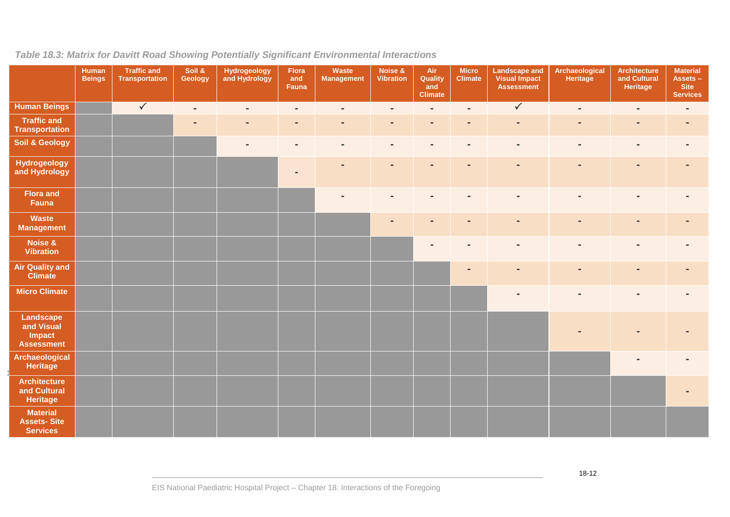| Table 18.3: Matrix for Davitt Road Showing Potentially Significant Environmental Interactions |  |
|-----------------------------------------------------------------------------------------------|--|
|-----------------------------------------------------------------------------------------------|--|

|                                                          | <b>Human</b><br><b>Beings</b> | <b>Traffic and</b><br><b>Transportation</b> | Soil &<br>Geology | Hydrogeology<br>and Hydrology | Flora<br>and<br>Fauna | Waste<br><b>Management</b> | Noise &<br>Vibration | Air<br>Quality<br>and<br><b>Climate</b> | <b>Micro</b><br><b>Climate</b> | <b>Landscape and</b><br><b>Visual Impact</b><br>Assessment | Archaeological<br><b>Heritage</b> | <b>Architecture</b><br>and Cultural<br>Heritage | <b>Material</b><br>Assets -<br><b>Site</b><br><b>Services</b> |
|----------------------------------------------------------|-------------------------------|---------------------------------------------|-------------------|-------------------------------|-----------------------|----------------------------|----------------------|-----------------------------------------|--------------------------------|------------------------------------------------------------|-----------------------------------|-------------------------------------------------|---------------------------------------------------------------|
| <b>Human Beings</b>                                      |                               | $\sqrt{}$                                   | $\blacksquare$    | $\blacksquare$                | $\blacksquare$        | $\blacksquare$             | $\blacksquare$       | $\overline{\phantom{a}}$                | $\blacksquare$                 | $\sqrt{}$                                                  | $\blacksquare$                    | $\blacksquare$                                  | $\blacksquare$                                                |
| <b>Traffic and</b><br><b>Transportation</b>              |                               |                                             |                   |                               | $\sim$                | $\blacksquare$             | $\blacksquare$       | $\blacksquare$                          | $\blacksquare$                 |                                                            | ٠                                 | $\blacksquare$                                  |                                                               |
| <b>Soil &amp; Geology</b>                                |                               |                                             |                   | $\blacksquare$                | $\blacksquare$        | $\blacksquare$             | $\blacksquare$       | $\blacksquare$                          | $\blacksquare$                 | $\blacksquare$                                             | $\blacksquare$                    | $\blacksquare$                                  |                                                               |
| <b>Hydrogeology</b><br>and Hydrology                     |                               |                                             |                   |                               |                       |                            | $\blacksquare$       | $\blacksquare$                          | $\blacksquare$                 | $\overline{a}$                                             | $\blacksquare$                    | $\blacksquare$                                  |                                                               |
| <b>Flora and</b><br>Fauna                                |                               |                                             |                   |                               |                       |                            | $\blacksquare$       | $\blacksquare$                          | $\blacksquare$                 |                                                            | $\blacksquare$                    | $\blacksquare$                                  |                                                               |
| Waste<br><b>Management</b>                               |                               |                                             |                   |                               |                       |                            | $\equiv$             | $\blacksquare$                          | $\blacksquare$                 | $\overline{a}$                                             | $\blacksquare$                    | $\blacksquare$                                  |                                                               |
| Noise &<br><b>Vibration</b>                              |                               |                                             |                   |                               |                       |                            |                      | $\blacksquare$                          | $\blacksquare$                 |                                                            | $\blacksquare$                    | $\blacksquare$                                  |                                                               |
| <b>Air Quality and</b><br><b>Climate</b>                 |                               |                                             |                   |                               |                       |                            |                      |                                         | $\blacksquare$                 |                                                            | $\blacksquare$                    | $\blacksquare$                                  |                                                               |
| <b>Micro Climate</b>                                     |                               |                                             |                   |                               |                       |                            |                      |                                         |                                | $\blacksquare$                                             | $\qquad \qquad =$                 | $\blacksquare$                                  |                                                               |
| Landscape<br>and Visual<br>Impact<br><b>Assessment</b>   |                               |                                             |                   |                               |                       |                            |                      |                                         |                                |                                                            |                                   |                                                 |                                                               |
| <b>Archaeological</b><br><b>Heritage</b>                 |                               |                                             |                   |                               |                       |                            |                      |                                         |                                |                                                            |                                   |                                                 |                                                               |
| <b>Architecture</b><br>and Cultural<br><b>Heritage</b>   |                               |                                             |                   |                               |                       |                            |                      |                                         |                                |                                                            |                                   |                                                 |                                                               |
| <b>Material</b><br><b>Assets-Site</b><br><b>Services</b> |                               |                                             |                   |                               |                       |                            |                      |                                         |                                |                                                            |                                   |                                                 |                                                               |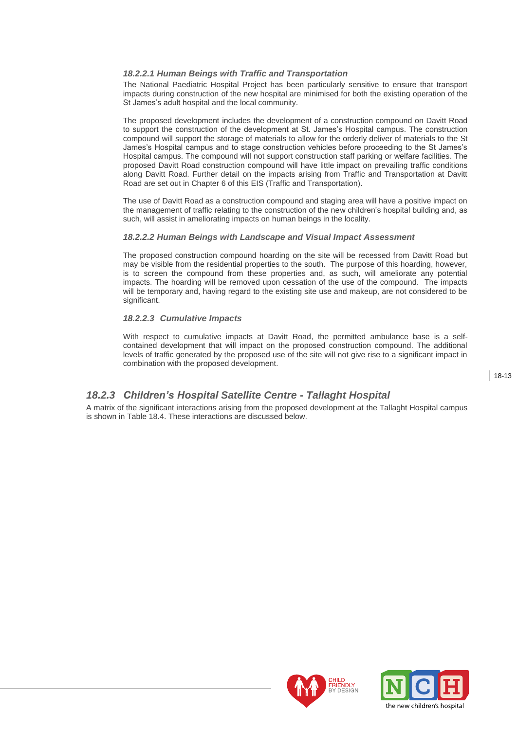# *18.2.2.1 Human Beings with Traffic and Transportation*

The National Paediatric Hospital Project has been particularly sensitive to ensure that transport impacts during construction of the new hospital are minimised for both the existing operation of the St James's adult hospital and the local community.

The proposed development includes the development of a construction compound on Davitt Road to support the construction of the development at St. James"s Hospital campus. The construction compound will support the storage of materials to allow for the orderly deliver of materials to the St James"s Hospital campus and to stage construction vehicles before proceeding to the St James"s Hospital campus. The compound will not support construction staff parking or welfare facilities. The proposed Davitt Road construction compound will have little impact on prevailing traffic conditions along Davitt Road. Further detail on the impacts arising from Traffic and Transportation at Davitt Road are set out in Chapter 6 of this EIS (Traffic and Transportation).

The use of Davitt Road as a construction compound and staging area will have a positive impact on the management of traffic relating to the construction of the new children"s hospital building and, as such, will assist in ameliorating impacts on human beings in the locality.

## *18.2.2.2 Human Beings with Landscape and Visual Impact Assessment*

The proposed construction compound hoarding on the site will be recessed from Davitt Road but may be visible from the residential properties to the south. The purpose of this hoarding, however, is to screen the compound from these properties and, as such, will ameliorate any potential impacts. The hoarding will be removed upon cessation of the use of the compound. The impacts will be temporary and, having regard to the existing site use and makeup, are not considered to be significant.

#### *18.2.2.3 Cumulative Impacts*

With respect to cumulative impacts at Davitt Road, the permitted ambulance base is a selfcontained development that will impact on the proposed construction compound. The additional levels of traffic generated by the proposed use of the site will not give rise to a significant impact in combination with the proposed development.

18-13

# *18.2.3 Children's Hospital Satellite Centre - Tallaght Hospital*

A matrix of the significant interactions arising from the proposed development at the Tallaght Hospital campus is shown in Table 18.4. These interactions are discussed below.



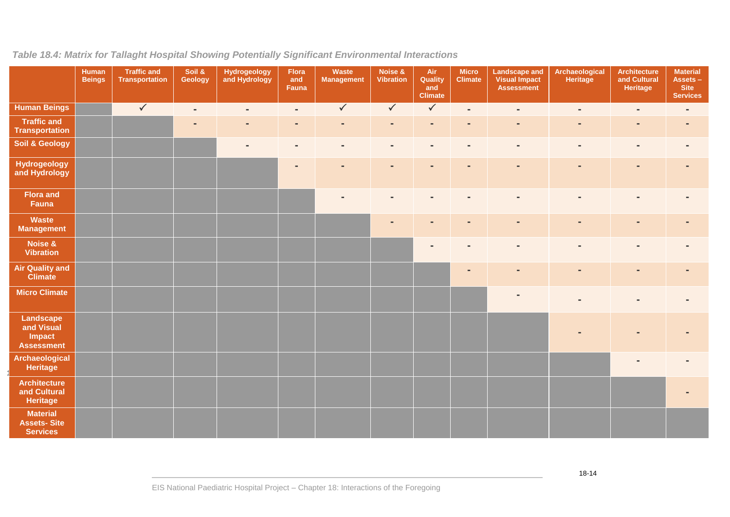| Table 18.4: Matrix for Tallaght Hospital Showing Potentially Significant Environmental Interactions |  |  |  |  |  |
|-----------------------------------------------------------------------------------------------------|--|--|--|--|--|
|-----------------------------------------------------------------------------------------------------|--|--|--|--|--|

|                                                          | <b>Human</b><br><b>Beings</b> | <b>Traffic and</b><br>Transportation | Soil &<br>Geology | Hydrogeology<br>and Hydrology | Flora<br>and<br>Fauna    | Waste<br><b>Management</b> | Noise &<br><b>Vibration</b> | Air<br>Quality<br>and<br><b>Climate</b> | <b>Micro</b><br><b>Climate</b> | <b>Landscape and</b><br><b>Visual Impact</b><br><b>Assessment</b> | Archaeological<br>Heritage | <b>Architecture</b><br>and Cultural<br>Heritage | <b>Material</b><br>Assets-<br><b>Site</b><br><b>Services</b> |
|----------------------------------------------------------|-------------------------------|--------------------------------------|-------------------|-------------------------------|--------------------------|----------------------------|-----------------------------|-----------------------------------------|--------------------------------|-------------------------------------------------------------------|----------------------------|-------------------------------------------------|--------------------------------------------------------------|
| <b>Human Beings</b>                                      |                               | $\sqrt{}$                            | $\blacksquare$    | $\sim$                        | $\blacksquare$           | $\checkmark$               | $\sqrt{}$                   | $\sqrt{}$                               | $\blacksquare$                 | $\sim$                                                            | $\sim$                     | $\blacksquare$                                  | $\blacksquare$                                               |
| <b>Traffic and</b><br><b>Transportation</b>              |                               |                                      |                   |                               | $\blacksquare$           |                            | $\qquad \qquad =$           | $\blacksquare$                          | $\blacksquare$                 | $\blacksquare$                                                    | $\qquad \qquad =$          | $\blacksquare$                                  |                                                              |
| <b>Soil &amp; Geology</b>                                |                               |                                      |                   | $\blacksquare$                | $\overline{\phantom{a}}$ | $\blacksquare$             | $\blacksquare$              | $\blacksquare$                          | $\blacksquare$                 | $\overline{\phantom{a}}$                                          | $\blacksquare$             | $\blacksquare$                                  | $\blacksquare$                                               |
| Hydrogeology<br>and Hydrology                            |                               |                                      |                   |                               | $\overline{\phantom{a}}$ | $\blacksquare$             | $\blacksquare$              | $\blacksquare$                          | $\blacksquare$                 | $\blacksquare$                                                    | $\blacksquare$             | $\overline{\phantom{a}}$                        | $\blacksquare$                                               |
| <b>Flora and</b><br>Fauna                                |                               |                                      |                   |                               |                          |                            |                             | $\blacksquare$                          | $\blacksquare$                 |                                                                   | $\blacksquare$             | $\blacksquare$                                  |                                                              |
| Waste<br><b>Management</b>                               |                               |                                      |                   |                               |                          |                            | ٠                           | $\blacksquare$                          | $\blacksquare$                 | $\blacksquare$                                                    | $\blacksquare$             | $\blacksquare$                                  |                                                              |
| Noise &<br><b>Vibration</b>                              |                               |                                      |                   |                               |                          |                            |                             | $\blacksquare$                          | $\blacksquare$                 | $\blacksquare$                                                    | $\blacksquare$             | $\blacksquare$                                  |                                                              |
| <b>Air Quality and</b><br><b>Climate</b>                 |                               |                                      |                   |                               |                          |                            |                             |                                         | $\blacksquare$                 |                                                                   | $\blacksquare$             | $\blacksquare$                                  |                                                              |
| <b>Micro Climate</b>                                     |                               |                                      |                   |                               |                          |                            |                             |                                         |                                | $\blacksquare$                                                    |                            | $\blacksquare$                                  |                                                              |
| Landscape<br>and Visual<br>Impact<br><b>Assessment</b>   |                               |                                      |                   |                               |                          |                            |                             |                                         |                                |                                                                   |                            |                                                 |                                                              |
| <b>Archaeological</b><br>Heritage                        |                               |                                      |                   |                               |                          |                            |                             |                                         |                                |                                                                   |                            | $\blacksquare$                                  |                                                              |
| <b>Architecture</b><br>and Cultural<br>Heritage          |                               |                                      |                   |                               |                          |                            |                             |                                         |                                |                                                                   |                            |                                                 |                                                              |
| <b>Material</b><br><b>Assets-Site</b><br><b>Services</b> |                               |                                      |                   |                               |                          |                            |                             |                                         |                                |                                                                   |                            |                                                 |                                                              |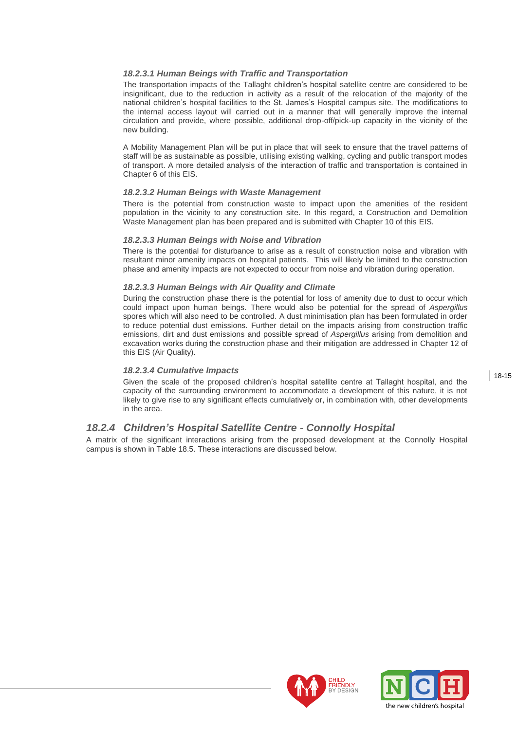## *18.2.3.1 Human Beings with Traffic and Transportation*

The transportation impacts of the Tallaght children"s hospital satellite centre are considered to be insignificant, due to the reduction in activity as a result of the relocation of the majority of the national children"s hospital facilities to the St. James"s Hospital campus site. The modifications to the internal access layout will carried out in a manner that will generally improve the internal circulation and provide, where possible, additional drop-off/pick-up capacity in the vicinity of the new building.

A Mobility Management Plan will be put in place that will seek to ensure that the travel patterns of staff will be as sustainable as possible, utilising existing walking, cycling and public transport modes of transport. A more detailed analysis of the interaction of traffic and transportation is contained in Chapter 6 of this EIS.

#### *18.2.3.2 Human Beings with Waste Management*

There is the potential from construction waste to impact upon the amenities of the resident population in the vicinity to any construction site. In this regard, a Construction and Demolition Waste Management plan has been prepared and is submitted with Chapter 10 of this EIS.

#### *18.2.3.3 Human Beings with Noise and Vibration*

There is the potential for disturbance to arise as a result of construction noise and vibration with resultant minor amenity impacts on hospital patients. This will likely be limited to the construction phase and amenity impacts are not expected to occur from noise and vibration during operation.

#### *18.2.3.3 Human Beings with Air Quality and Climate*

During the construction phase there is the potential for loss of amenity due to dust to occur which could impact upon human beings. There would also be potential for the spread of *Aspergillus* spores which will also need to be controlled. A dust minimisation plan has been formulated in order to reduce potential dust emissions. Further detail on the impacts arising from construction traffic emissions, dirt and dust emissions and possible spread of *Aspergillus* arising from demolition and excavation works during the construction phase and their mitigation are addressed in Chapter 12 of this EIS (Air Quality).

## *18.2.3.4 Cumulative Impacts*

Given the scale of the proposed children"s hospital satellite centre at Tallaght hospital, and the capacity of the surrounding environment to accommodate a development of this nature, it is not likely to give rise to any significant effects cumulatively or, in combination with, other developments in the area.

# *18.2.4 Children's Hospital Satellite Centre - Connolly Hospital*

A matrix of the significant interactions arising from the proposed development at the Connolly Hospital campus is shown in Table 18.5. These interactions are discussed below.



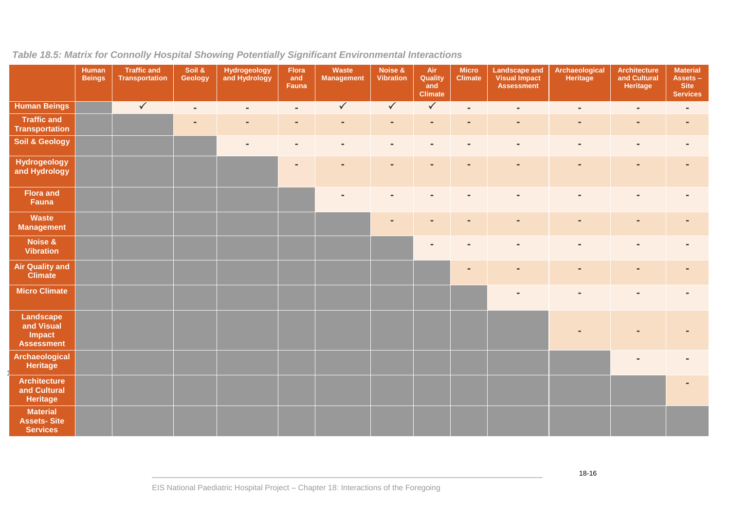|                                                          | Human<br><b>Beings</b> | <b>Traffic and</b><br><b>Transportation</b> | Soil &<br>Geology | <b>Hydrogeology</b><br>and Hydrology | Flora<br>and<br>Fauna    | Waste<br><b>Management</b> | Noise &<br><b>Vibration</b> | Air<br>Quality<br>and<br><b>Climate</b> | <b>Micro</b><br><b>Climate</b> | <b>Landscape and</b><br><b>Visual Impact</b><br><b>Assessment</b> | Archaeological<br>Heritage | Architecture<br>and Cultural<br>Heritage | <b>Material</b><br>Assets -<br><b>Site</b><br><b>Services</b> |
|----------------------------------------------------------|------------------------|---------------------------------------------|-------------------|--------------------------------------|--------------------------|----------------------------|-----------------------------|-----------------------------------------|--------------------------------|-------------------------------------------------------------------|----------------------------|------------------------------------------|---------------------------------------------------------------|
| <b>Human Beings</b>                                      |                        | $\sqrt{}$                                   | $\blacksquare$    | $\sim$                               | $\blacksquare$           | $\sqrt{2}$                 | $\sqrt{}$                   | $\sqrt{}$                               | $\blacksquare$                 | $\blacksquare$                                                    | $\blacksquare$             | $\blacksquare$                           | $\blacksquare$                                                |
| <b>Traffic and</b><br><b>Transportation</b>              |                        |                                             | $\blacksquare$    |                                      | $\blacksquare$           |                            | $\blacksquare$              | $\sim$                                  | $\blacksquare$                 | $\blacksquare$                                                    | $\blacksquare$             | $\blacksquare$                           | $\blacksquare$                                                |
| <b>Soil &amp; Geology</b>                                |                        |                                             |                   |                                      | $\blacksquare$           | $\qquad \qquad =$          | $\overline{\phantom{a}}$    | $\blacksquare$                          | $\blacksquare$                 | $\blacksquare$                                                    | $\blacksquare$             | $\blacksquare$                           |                                                               |
| <b>Hydrogeology</b><br>and Hydrology                     |                        |                                             |                   |                                      | $\overline{\phantom{a}}$ | ٠                          | $\blacksquare$              | $\blacksquare$                          | $\blacksquare$                 | $\blacksquare$                                                    | $\blacksquare$             | ٠                                        | $\blacksquare$                                                |
| <b>Flora and</b><br>Fauna                                |                        |                                             |                   |                                      |                          |                            |                             |                                         |                                |                                                                   |                            |                                          |                                                               |
| Waste<br><b>Management</b>                               |                        |                                             |                   |                                      |                          |                            |                             | $\blacksquare$                          | ٠                              | $\blacksquare$                                                    | $\blacksquare$             | ٠                                        |                                                               |
| Noise &<br><b>Vibration</b>                              |                        |                                             |                   |                                      |                          |                            |                             | $\blacksquare$                          | $\blacksquare$                 | $\overline{a}$                                                    | $\blacksquare$             | $\blacksquare$                           | ۰                                                             |
| <b>Air Quality and</b><br><b>Climate</b>                 |                        |                                             |                   |                                      |                          |                            |                             |                                         | $\blacksquare$                 | $\blacksquare$                                                    | $\blacksquare$             | $\blacksquare$                           | $\blacksquare$                                                |
| <b>Micro Climate</b>                                     |                        |                                             |                   |                                      |                          |                            |                             |                                         |                                | $\blacksquare$                                                    |                            |                                          |                                                               |
| Landscape<br>and Visual<br>Impact<br><b>Assessment</b>   |                        |                                             |                   |                                      |                          |                            |                             |                                         |                                |                                                                   |                            |                                          |                                                               |
| Archaeological<br><b>Heritage</b>                        |                        |                                             |                   |                                      |                          |                            |                             |                                         |                                |                                                                   |                            |                                          |                                                               |
| <b>Architecture</b><br>and Cultural<br><b>Heritage</b>   |                        |                                             |                   |                                      |                          |                            |                             |                                         |                                |                                                                   |                            |                                          |                                                               |
| <b>Material</b><br><b>Assets-Site</b><br><b>Services</b> |                        |                                             |                   |                                      |                          |                            |                             |                                         |                                |                                                                   |                            |                                          |                                                               |

# *Table 18.5: Matrix for Connolly Hospital Showing Potentially Significant Environmental Interactions*